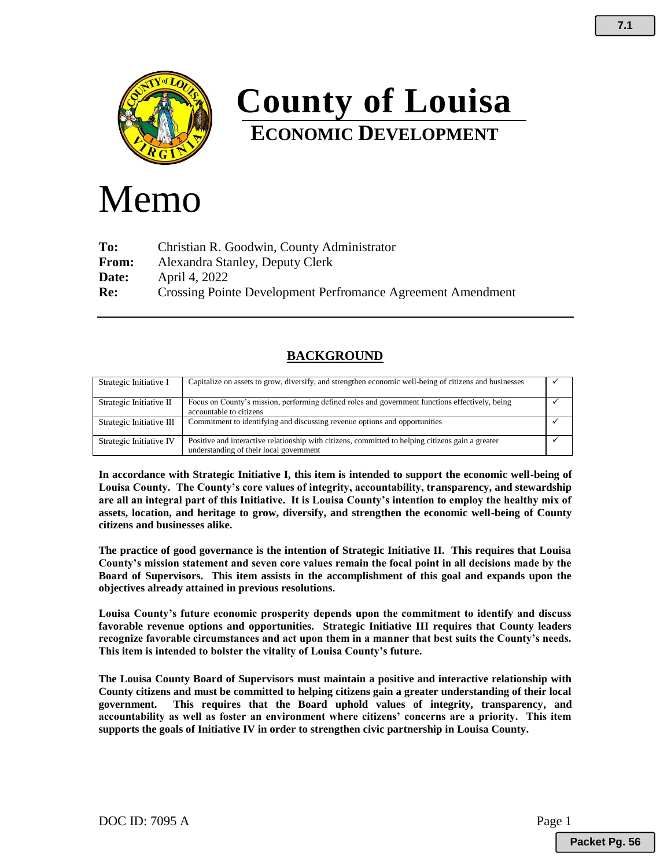

# **County of Louisa ECONOMIC DEVELOPMENT**

# Memo

**To:** Christian R. Goodwin, County Administrator **From:** Alexandra Stanley, Deputy Clerk **Date:** April 4, 2022 **Re:** Crossing Pointe Development Perfromance Agreement Amendment

# **BACKGROUND**

| Strategic Initiative I   | Capitalize on assets to grow, diversify, and strengthen economic well-being of citizens and businesses                                       |  |
|--------------------------|----------------------------------------------------------------------------------------------------------------------------------------------|--|
| Strategic Initiative II  | Focus on County's mission, performing defined roles and government functions effectively, being<br>accountable to citizens                   |  |
| Strategic Initiative III | Commitment to identifying and discussing revenue options and opportunities                                                                   |  |
| Strategic Initiative IV  | Positive and interactive relationship with citizens, committed to helping citizens gain a greater<br>understanding of their local government |  |

**In accordance with Strategic Initiative I, this item is intended to support the economic well-being of Louisa County. The County's core values of integrity, accountability, transparency, and stewardship are all an integral part of this Initiative. It is Louisa County's intention to employ the healthy mix of assets, location, and heritage to grow, diversify, and strengthen the economic well-being of County citizens and businesses alike.** 

**The practice of good governance is the intention of Strategic Initiative II. This requires that Louisa County's mission statement and seven core values remain the focal point in all decisions made by the Board of Supervisors. This item assists in the accomplishment of this goal and expands upon the objectives already attained in previous resolutions.** 

**Louisa County's future economic prosperity depends upon the commitment to identify and discuss favorable revenue options and opportunities. Strategic Initiative III requires that County leaders recognize favorable circumstances and act upon them in a manner that best suits the County's needs. This item is intended to bolster the vitality of Louisa County's future.**

**The Louisa County Board of Supervisors must maintain a positive and interactive relationship with County citizens and must be committed to helping citizens gain a greater understanding of their local government. This requires that the Board uphold values of integrity, transparency, and accountability as well as foster an environment where citizens' concerns are a priority. This item supports the goals of Initiative IV in order to strengthen civic partnership in Louisa County.**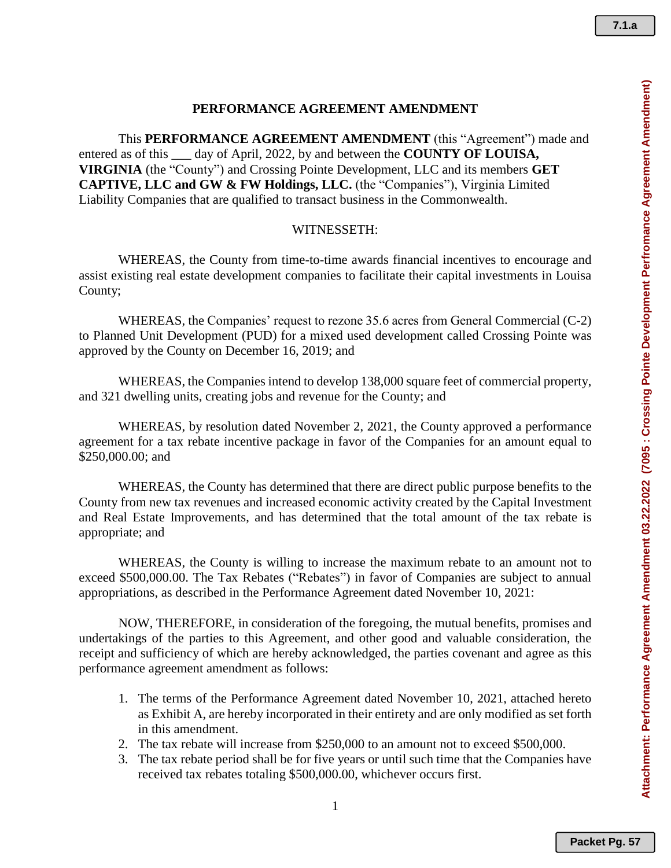#### **PERFORMANCE AGREEMENT AMENDMENT**

This **PERFORMANCE AGREEMENT AMENDMENT** (this "Agreement") made and entered as of this \_\_\_ day of April, 2022, by and between the **COUNTY OF LOUISA, VIRGINIA** (the "County") and Crossing Pointe Development, LLC and its members **GET CAPTIVE, LLC and GW & FW Holdings, LLC.** (the "Companies"), Virginia Limited Liability Companies that are qualified to transact business in the Commonwealth.

## WITNESSETH:

WHEREAS, the County from time-to-time awards financial incentives to encourage and assist existing real estate development companies to facilitate their capital investments in Louisa County;

WHEREAS, the Companies' request to rezone 35.6 acres from General Commercial (C-2) to Planned Unit Development (PUD) for a mixed used development called Crossing Pointe was approved by the County on December 16, 2019; and

WHEREAS, the Companies intend to develop 138,000 square feet of commercial property, and 321 dwelling units, creating jobs and revenue for the County; and

WHEREAS, by resolution dated November 2, 2021, the County approved a performance agreement for a tax rebate incentive package in favor of the Companies for an amount equal to \$250,000.00; and

WHEREAS, the County has determined that there are direct public purpose benefits to the County from new tax revenues and increased economic activity created by the Capital Investment and Real Estate Improvements, and has determined that the total amount of the tax rebate is appropriate; and

WHEREAS, the County is willing to increase the maximum rebate to an amount not to exceed \$500,000.00. The Tax Rebates ("Rebates") in favor of Companies are subject to annual appropriations, as described in the Performance Agreement dated November 10, 2021:

NOW, THEREFORE, in consideration of the foregoing, the mutual benefits, promises and undertakings of the parties to this Agreement, and other good and valuable consideration, the receipt and sufficiency of which are hereby acknowledged, the parties covenant and agree as this performance agreement amendment as follows:

- 1. The terms of the Performance Agreement dated November 10, 2021, attached hereto as Exhibit A, are hereby incorporated in their entirety and are only modified as set forth in this amendment.
- 2. The tax rebate will increase from \$250,000 to an amount not to exceed \$500,000.
- 3. The tax rebate period shall be for five years or until such time that the Companies have received tax rebates totaling \$500,000.00, whichever occurs first.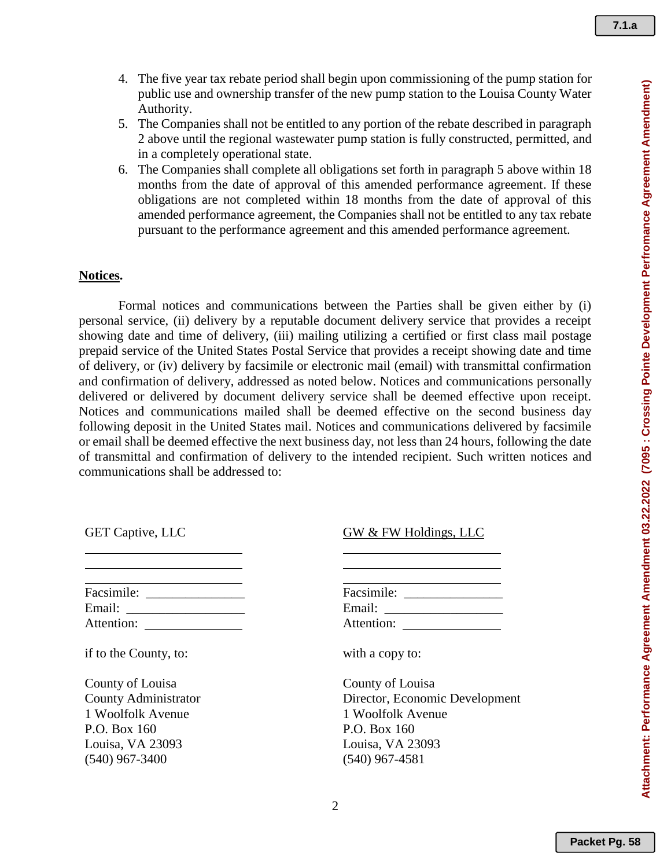- 4. The five year tax rebate period shall begin upon commissioning of the pump station for public use and ownership transfer of the new pump station to the Louisa County Water Authority.
- 5. The Companies shall not be entitled to any portion of the rebate described in paragraph 2 above until the regional wastewater pump station is fully constructed, permitted, and in a completely operational state.
- 6. The Companies shall complete all obligations set forth in paragraph 5 above within 18 months from the date of approval of this amended performance agreement. If these obligations are not completed within 18 months from the date of approval of this amended performance agreement, the Companies shall not be entitled to any tax rebate pursuant to the performance agreement and this amended performance agreement.

## **Notices.**

Formal notices and communications between the Parties shall be given either by (i) personal service, (ii) delivery by a reputable document delivery service that provides a receipt showing date and time of delivery, (iii) mailing utilizing a certified or first class mail postage prepaid service of the United States Postal Service that provides a receipt showing date and time of delivery, or (iv) delivery by facsimile or electronic mail (email) with transmittal confirmation and confirmation of delivery, addressed as noted below. Notices and communications personally delivered or delivered by document delivery service shall be deemed effective upon receipt. Notices and communications mailed shall be deemed effective on the second business day following deposit in the United States mail. Notices and communications delivered by facsimile or email shall be deemed effective the next business day, not less than 24 hours, following the date of transmittal and confirmation of delivery to the intended recipient. Such written notices and communications shall be addressed to:

GET Captive, LLC

| Facsimile: |  |
|------------|--|
| Email:     |  |
| Attention: |  |

if to the County, to:

County of Louisa County Administrator 1 Woolfolk Avenue P.O. Box 160 Louisa, VA 23093 (540) 967-3400

GW & FW Holdings, LLC

| Facsimile: |  |  |
|------------|--|--|
| Email:     |  |  |
| Attention: |  |  |

with a copy to:

County of Louisa Director, Economic Development 1 Woolfolk Avenue P.O. Box 160 Louisa, VA 23093 (540) 967-4581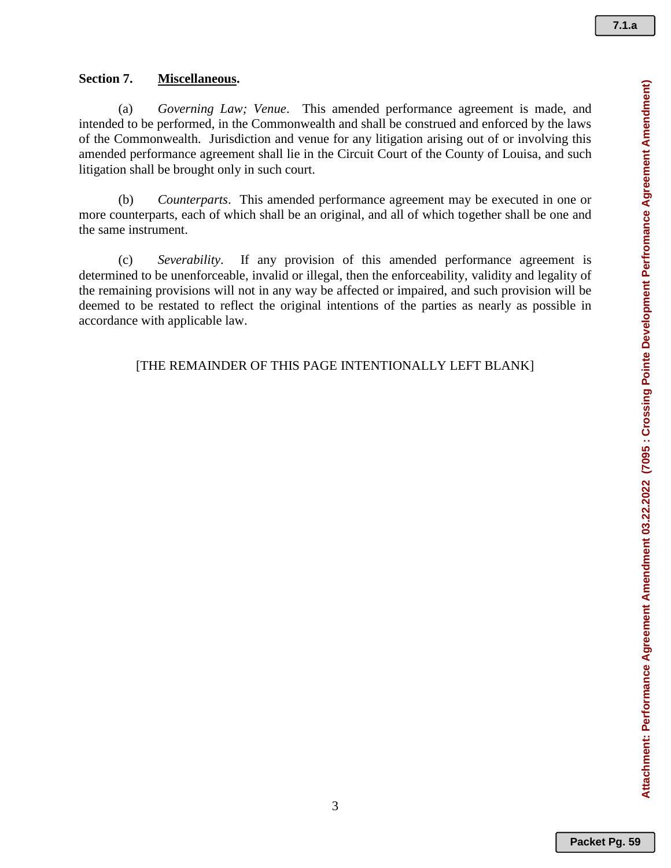Attachment: Performance Agreement Amendment 03.22.2022 (7095 : Crossing Pointe Development Perfromance Agreement Amendment) **Attachment: Performance Agreement Amendment 03.22.2022 (7095 : Crossing Pointe Development Perfromance Agreement Amendment)**

# **Section 7. Miscellaneous.**

(a) *Governing Law; Venue*. This amended performance agreement is made, and intended to be performed, in the Commonwealth and shall be construed and enforced by the laws of the Commonwealth. Jurisdiction and venue for any litigation arising out of or involving this amended performance agreement shall lie in the Circuit Court of the County of Louisa, and such litigation shall be brought only in such court.

(b) *Counterparts*. This amended performance agreement may be executed in one or more counterparts, each of which shall be an original, and all of which together shall be one and the same instrument.

(c) *Severability*. If any provision of this amended performance agreement is determined to be unenforceable, invalid or illegal, then the enforceability, validity and legality of the remaining provisions will not in any way be affected or impaired, and such provision will be deemed to be restated to reflect the original intentions of the parties as nearly as possible in accordance with applicable law.

[THE REMAINDER OF THIS PAGE INTENTIONALLY LEFT BLANK]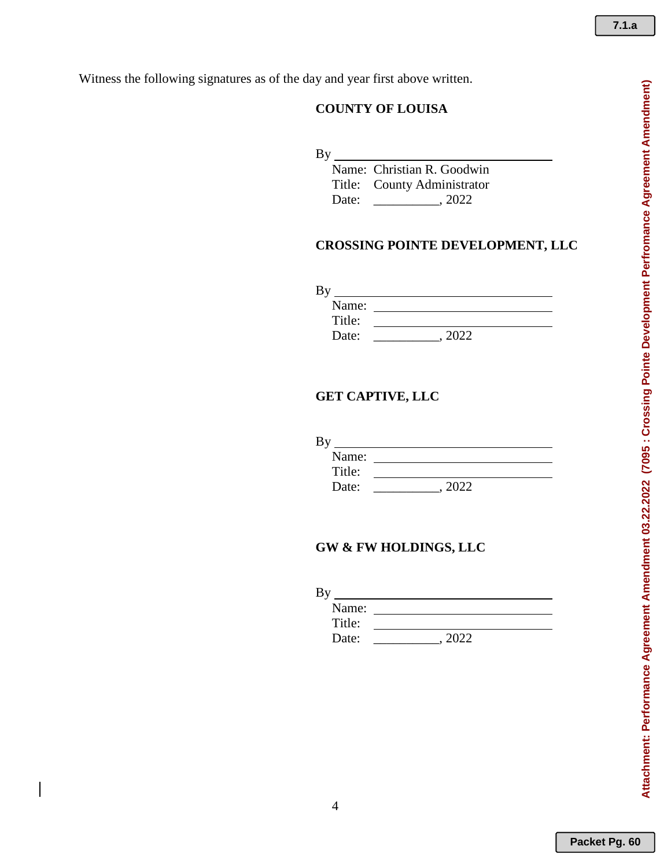Witness the following signatures as of the day and year first above written.

# **COUNTY OF LOUISA**

 $By$ <sub>\_</sub>

 Name: Christian R. Goodwin Title: County Administrator Date: \_\_\_\_\_\_\_\_\_\_, 2022

# **CROSSING POINTE DEVELOPMENT, LLC**

| Name:  |  |
|--------|--|
| Title: |  |
| Date:  |  |

# **GET CAPTIVE, LLC**

| Name:  |  |
|--------|--|
| Title: |  |
| Date:  |  |

# **GW & FW HOLDINGS, LLC**

| ь      |  |
|--------|--|
| Name:  |  |
| Title: |  |
| Date:  |  |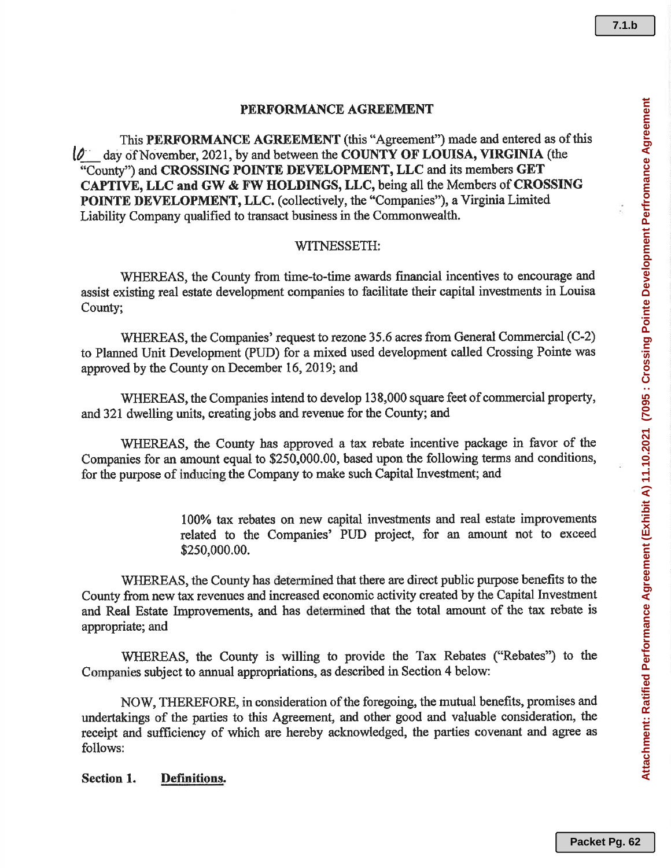# PERFORMANCE AGREEMENT

This PERFORMANCE AGREEMENT (this "Agreement") made and entered as of this  $\phi$  day of November, 2021, by and between the COUNTY OF LOUISA, VIRGINIA (the "County") and CROSSING POINTE DEVELOPMENT, LLC and its members GET CAPTIVE, LLC and GW & FW HOLDINGS, LLC, being all the Members of CROSSING POINTE DEVELOPMENT, LLC. (collectively, the "Companies"), a Virginia Limited Liability Company qualified to transact business in the Commonwealth.

## WITNESSETH:

WHEREAS, the County from time-to-time awards financial incentives to encourage and assist existing real estate development companies to facilitate their capital investments in Louisa County;

WHEREAS, the Companies' request to rezone 35.6 acres from General Commercial (C-2) to Planned Unit Development (PUD) for a mixed used development called Crossing Pointe was approved by the County on December 16, 2019; and

WHEREAS, the Companies intend to develop 138,000 square feet of commercial property, and 321 dwelling units, creating jobs and revenue for the County; and

WHEREAS, the County has approved a tax rebate incentive package in favor of the Companies for an amount equal to \$250,000.00, based upon the following terms and conditions, for the purpose of inducing the Company to make such Capital Investment; and

> 100% tax rebates on new capital investments and real estate improvements related to the Companies' PUD project, for an amount not to exceed \$250,000.00.

WHEREAS, the County has determined that there are direct public purpose benefits to the County from new tax revenues and increased economic activity created by the Capital Investment and Real Estate Improvements, and has determined that the total amount of the tax rebate is appropriate; and

WHEREAS, the County is willing to provide the Tax Rebates ("Rebates") to the Companies subject to annual appropriations, as described in Section 4 below:

NOW, THEREFORE, in consideration of the foregoing, the mutual benefits, promises and undertakings of the parties to this Agreement, and other good and valuable consideration, the receipt and sufficiency of which are hereby acknowledged, the parties covenant and agree as follows:

#### Section 1. **Definitions.**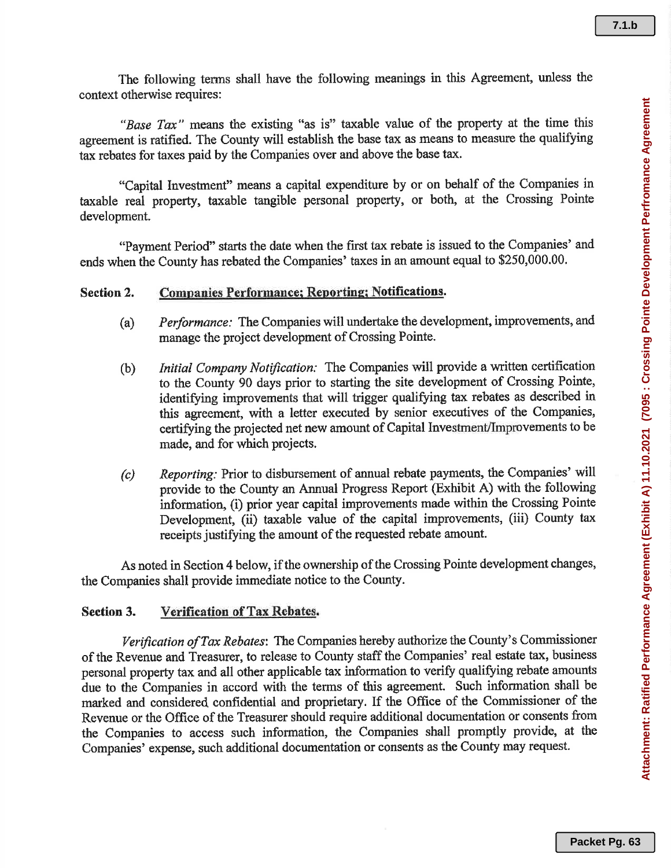The following terms shall have the following meanings in this Agreement, unless the context otherwise requires:

"Base Tax" means the existing "as is" taxable value of the property at the time this agreement is ratified. The County will establish the base tax as means to measure the qualifying tax rebates for taxes paid by the Companies over and above the base tax.

"Capital Investment" means a capital expenditure by or on behalf of the Companies in taxable real property, taxable tangible personal property, or both, at the Crossing Pointe development.

"Payment Period" starts the date when the first tax rebate is issued to the Companies' and ends when the County has rebated the Companies' taxes in an amount equal to \$250,000.00.

#### Section 2. **Companies Performance; Reporting; Notifications.**

- *Performance:* The Companies will undertake the development, improvements, and  $(a)$ manage the project development of Crossing Pointe.
- Initial Company Notification: The Companies will provide a written certification  $(b)$ to the County 90 days prior to starting the site development of Crossing Pointe, identifying improvements that will trigger qualifying tax rebates as described in this agreement, with a letter executed by senior executives of the Companies, certifying the projected net new amount of Capital Investment/Improvements to be made, and for which projects.
- Reporting: Prior to disbursement of annual rebate payments, the Companies' will  $(c)$ provide to the County an Annual Progress Report (Exhibit A) with the following information, (i) prior year capital improvements made within the Crossing Pointe Development, (ii) taxable value of the capital improvements, (iii) County tax receipts justifying the amount of the requested rebate amount.

As noted in Section 4 below, if the ownership of the Crossing Pointe development changes, the Companies shall provide immediate notice to the County.

#### Verification of Tax Rebates. **Section 3.**

Verification of Tax Rebates: The Companies hereby authorize the County's Commissioner of the Revenue and Treasurer, to release to County staff the Companies' real estate tax, business personal property tax and all other applicable tax information to verify qualifying rebate amounts due to the Companies in accord with the terms of this agreement. Such information shall be marked and considered confidential and proprietary. If the Office of the Commissioner of the Revenue or the Office of the Treasurer should require additional documentation or consents from the Companies to access such information, the Companies shall promptly provide, at the Companies' expense, such additional documentation or consents as the County may request.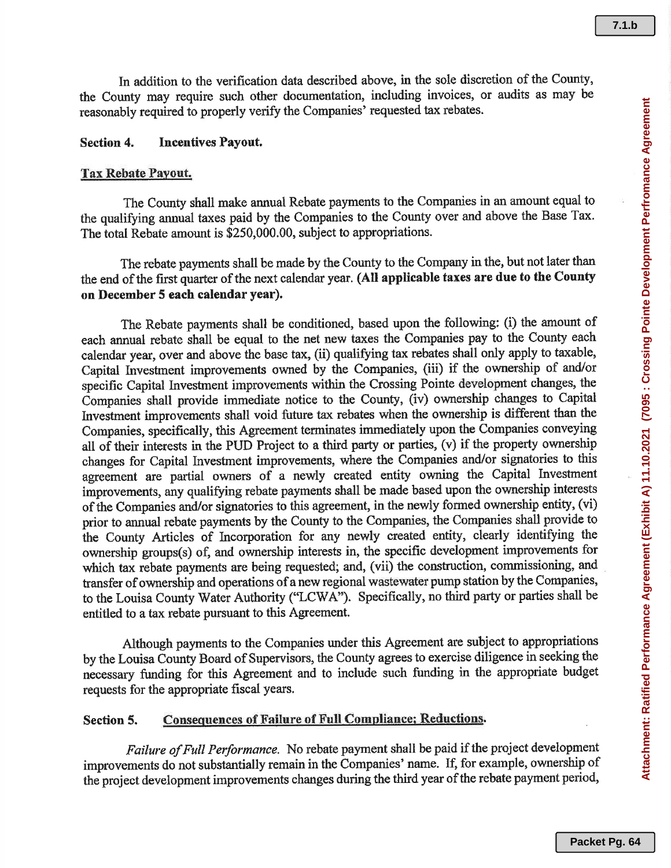In addition to the verification data described above, in the sole discretion of the County, the County may require such other documentation, including invoices, or audits as may be reasonably required to properly verify the Companies' requested tax rebates.

#### **Incentives Payout. Section 4.**

#### Tax Rebate Payout.

The County shall make annual Rebate payments to the Companies in an amount equal to the qualifying annual taxes paid by the Companies to the County over and above the Base Tax. The total Rebate amount is \$250,000.00, subject to appropriations.

The rebate payments shall be made by the County to the Company in the, but not later than the end of the first quarter of the next calendar year. (All applicable taxes are due to the County on December 5 each calendar year).

The Rebate payments shall be conditioned, based upon the following: (i) the amount of each annual rebate shall be equal to the net new taxes the Companies pay to the County each calendar year, over and above the base tax, (ii) qualifying tax rebates shall only apply to taxable, Capital Investment improvements owned by the Companies, (iii) if the ownership of and/or specific Capital Investment improvements within the Crossing Pointe development changes, the Companies shall provide immediate notice to the County, (iv) ownership changes to Capital Investment improvements shall void future tax rebates when the ownership is different than the Companies, specifically, this Agreement terminates immediately upon the Companies conveying all of their interests in the PUD Project to a third party or parties, (v) if the property ownership changes for Capital Investment improvements, where the Companies and/or signatories to this agreement are partial owners of a newly created entity owning the Capital Investment improvements, any qualifying rebate payments shall be made based upon the ownership interests of the Companies and/or signatories to this agreement, in the newly formed ownership entity, (vi) prior to annual rebate payments by the County to the Companies, the Companies shall provide to the County Articles of Incorporation for any newly created entity, clearly identifying the ownership groups(s) of, and ownership interests in, the specific development improvements for which tax rebate payments are being requested; and, (vii) the construction, commissioning, and transfer of ownership and operations of a new regional wastewater pump station by the Companies, to the Louisa County Water Authority ("LCWA"). Specifically, no third party or parties shall be entitled to a tax rebate pursuant to this Agreement.

Although payments to the Companies under this Agreement are subject to appropriations by the Louisa County Board of Supervisors, the County agrees to exercise diligence in seeking the necessary funding for this Agreement and to include such funding in the appropriate budget requests for the appropriate fiscal years.

#### **Consequences of Failure of Full Compliance; Reductions.** Section 5.

Failure of Full Performance. No rebate payment shall be paid if the project development improvements do not substantially remain in the Companies' name. If, for example, ownership of the project development improvements changes during the third year of the rebate payment period,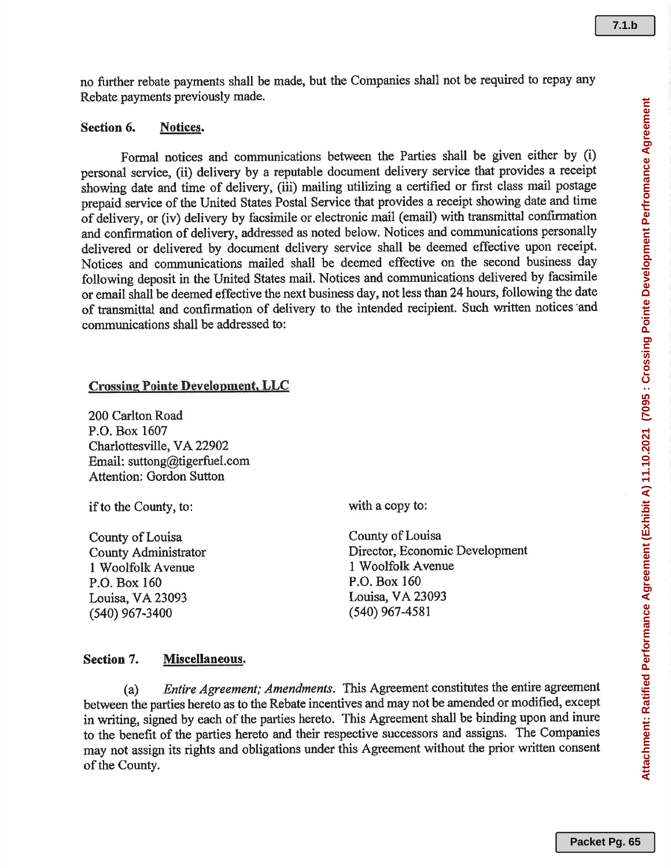no further rebate payments shall be made, but the Companies shall not be required to repay any Rebate payments previously made.

#### Section 6. Notices.

Formal notices and communications between the Parties shall be given either by (i) personal service, (ii) delivery by a reputable document delivery service that provides a receipt showing date and time of delivery, (iii) mailing utilizing a certified or first class mail postage prepaid service of the United States Postal Service that provides a receipt showing date and time of delivery, or (iv) delivery by facsimile or electronic mail (email) with transmittal confirmation and confirmation of delivery, addressed as noted below. Notices and communications personally delivered or delivered by document delivery service shall be deemed effective upon receipt. Notices and communications mailed shall be deemed effective on the second business day following deposit in the United States mail. Notices and communications delivered by facsimile or email shall be deemed effective the next business day, not less than 24 hours, following the date of transmittal and confirmation of delivery to the intended recipient. Such written notices and communications shall be addressed to:

## **Crossing Pointe Development, LLC**

200 Carlton Road P.O. Box 1607 Charlottesville, VA 22902 Email: suttong@tigerfuel.com **Attention: Gordon Sutton** 

if to the County, to:

County of Louisa **County Administrator** 1 Woolfolk Avenue P.O. Box 160 Louisa, VA 23093  $(540)$  967-3400

with a copy to:

County of Louisa Director, Economic Development 1 Woolfolk Avenue P.O. Box 160 Louisa, VA 23093  $(540)$  967-4581

#### Section 7. Miscellaneous.

Entire Agreement; Amendments. This Agreement constitutes the entire agreement  $(a)$ between the parties hereto as to the Rebate incentives and may not be amended or modified, except in writing, signed by each of the parties hereto. This Agreement shall be binding upon and inure to the benefit of the parties hereto and their respective successors and assigns. The Companies may not assign its rights and obligations under this Agreement without the prior written consent of the County.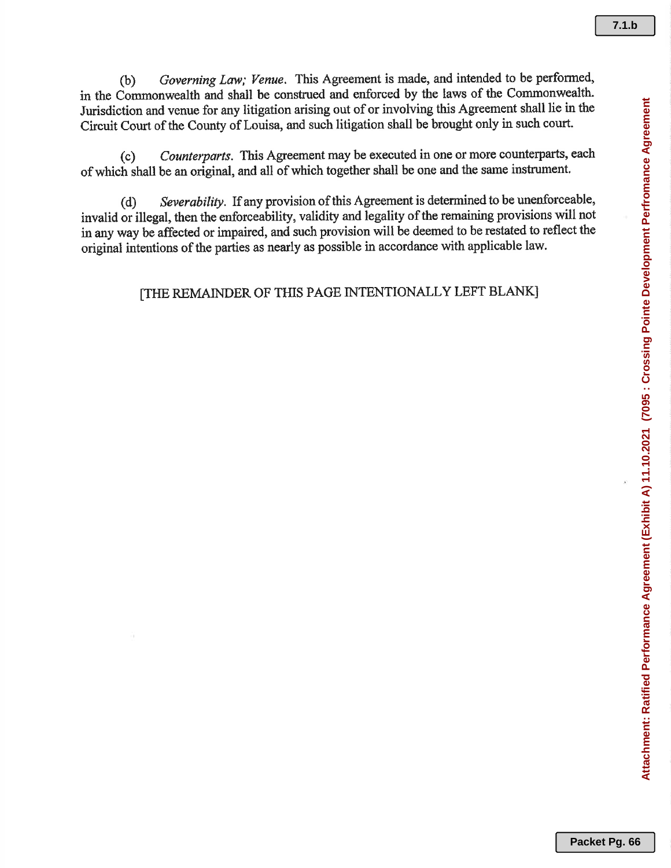Governing Law; Venue. This Agreement is made, and intended to be performed,  $(b)$ in the Commonwealth and shall be construed and enforced by the laws of the Commonwealth. Jurisdiction and venue for any litigation arising out of or involving this Agreement shall lie in the Circuit Court of the County of Louisa, and such litigation shall be brought only in such court.

Counterparts. This Agreement may be executed in one or more counterparts, each  $(c)$ of which shall be an original, and all of which together shall be one and the same instrument.

Severability. If any provision of this Agreement is determined to be unenforceable,  $(d)$ invalid or illegal, then the enforceability, validity and legality of the remaining provisions will not in any way be affected or impaired, and such provision will be deemed to be restated to reflect the original intentions of the parties as nearly as possible in accordance with applicable law.

# [THE REMAINDER OF THIS PAGE INTENTIONALLY LEFT BLANK]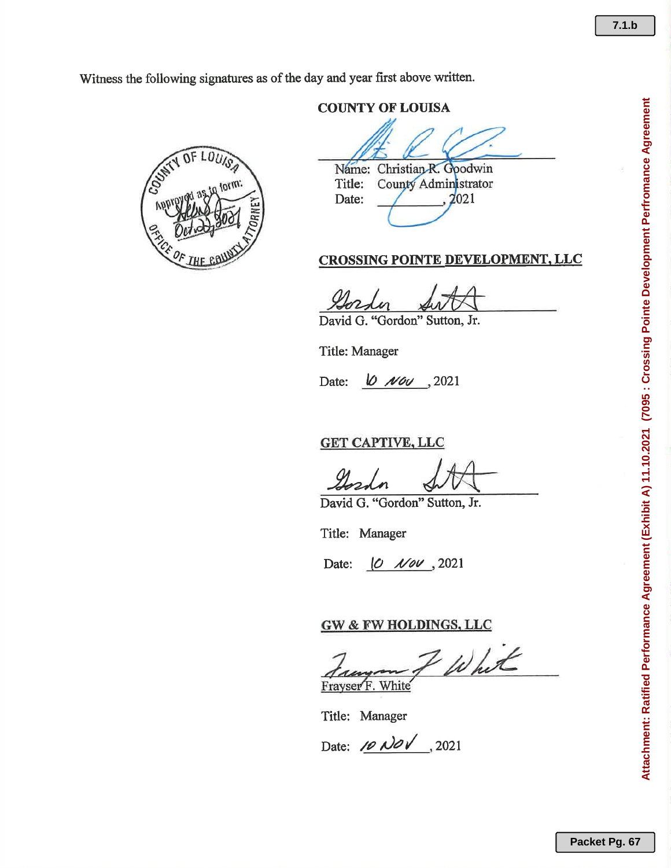Witness the following signatures as of the day and year first above written.

 $\iota$ 

# **COUNTY OF LOUISA**

Name: Christian R. Goodwin County Administrator Title: 2021 Date:

# CROSSING POINTE DEVELOPMENT, LLC

David G. "Gordon" Sutton, Jr.

Title: Manager

 $10$  Nov , 2021 Date:

**GET CAPTIVE, LLC** 

David G. "Gordon" Sutton, Jr.

Title: Manager

Date:  $\begin{vmatrix} 0 & \sqrt{0} & \sqrt{0} & 2021 \end{vmatrix}$ 

# **GW & FW HOLDINGS, LLC**

Whit Fravser F. White

Title: Manager

 $7.1.b$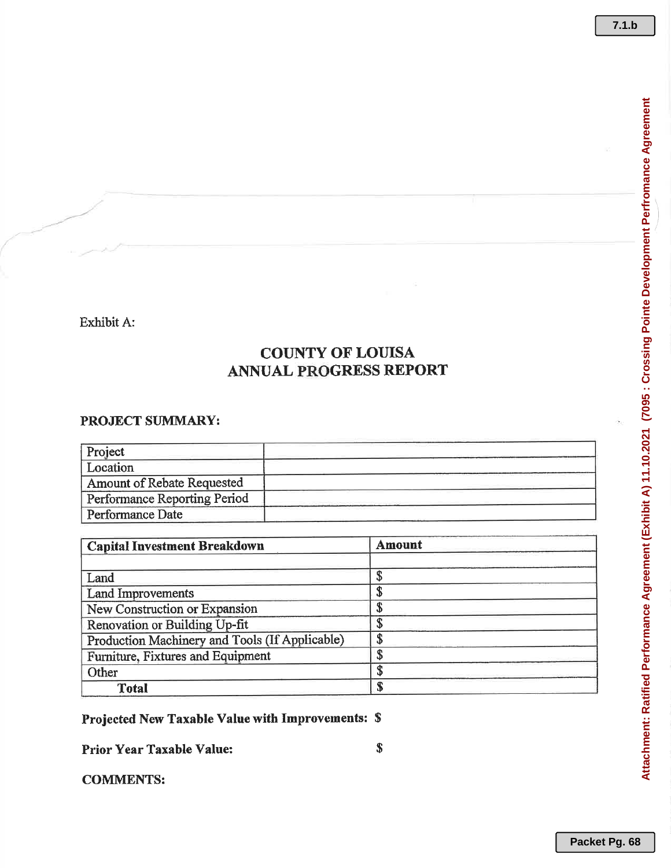# **COUNTY OF LOUISA ANNUAL PROGRESS REPORT**

## PROJECT SUMMARY:

| Project                      |  |
|------------------------------|--|
| Location                     |  |
| Amount of Rebate Requested   |  |
| Performance Reporting Period |  |
| Performance Date             |  |

| <b>Capital Investment Breakdown</b>            | Amount |
|------------------------------------------------|--------|
| Land                                           |        |
| <b>Land Improvements</b>                       |        |
| New Construction or Expansion                  |        |
| Renovation or Building Up-fit                  |        |
| Production Machinery and Tools (If Applicable) |        |
| Furniture, Fixtures and Equipment              |        |
| Other                                          |        |
| Total                                          |        |

Projected New Taxable Value with Improvements: \$

**Prior Year Taxable Value:** 

**COMMENTS:**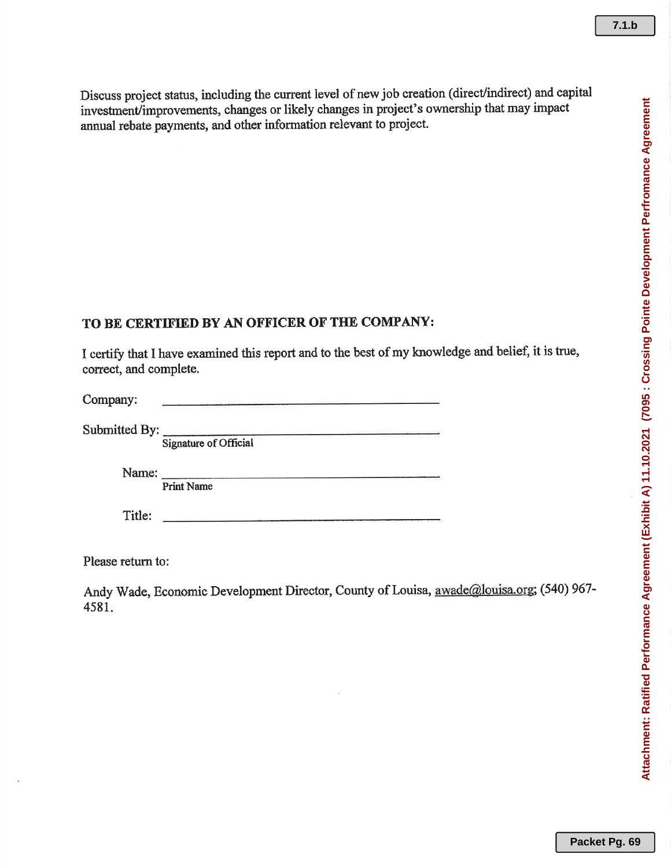Discuss project status, including the current level of new job creation (direct/indirect) and capital investment/improvements, changes or likely changes in project's ownership that may impact annual rebate payments, and other information relevant to project.

# TO BE CERTIFIED BY AN OFFICER OF THE COMPANY:

I certify that I have examined this report and to the best of my knowledge and belief, it is true, correct, and complete.

| Company:      |                       |
|---------------|-----------------------|
| Submitted By: | Signature of Official |
|               | <b>Print Name</b>     |
| Title:        |                       |

Please return to:

Andy Wade, Economic Development Director, County of Louisa, awade@louisa.org; (540) 967-4581.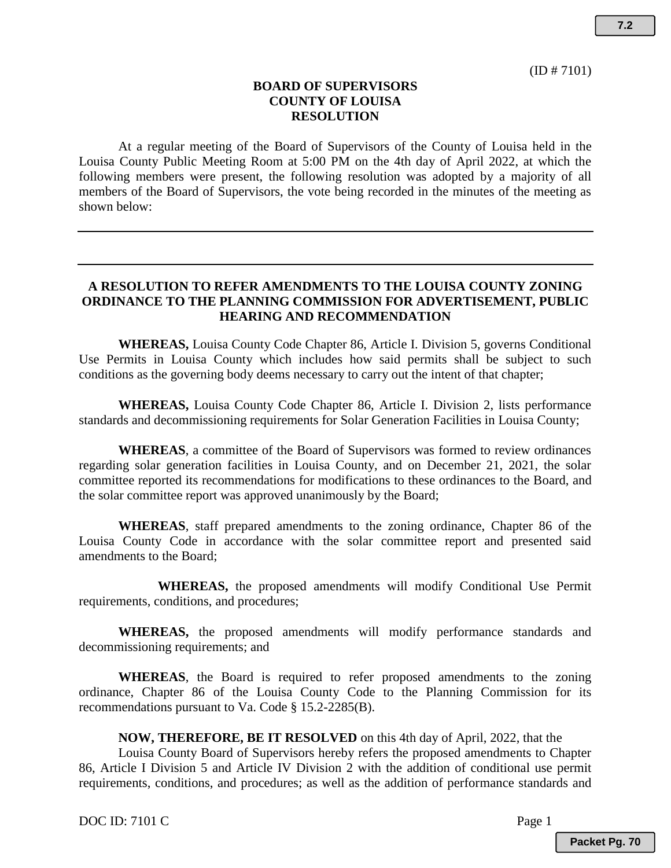**7.2**

## **BOARD OF SUPERVISORS COUNTY OF LOUISA RESOLUTION**

At a regular meeting of the Board of Supervisors of the County of Louisa held in the Louisa County Public Meeting Room at 5:00 PM on the 4th day of April 2022, at which the following members were present, the following resolution was adopted by a majority of all members of the Board of Supervisors, the vote being recorded in the minutes of the meeting as shown below:

## **A RESOLUTION TO REFER AMENDMENTS TO THE LOUISA COUNTY ZONING ORDINANCE TO THE PLANNING COMMISSION FOR ADVERTISEMENT, PUBLIC HEARING AND RECOMMENDATION**

**WHEREAS,** Louisa County Code Chapter 86, Article I. Division 5, governs Conditional Use Permits in Louisa County which includes how said permits shall be subject to such conditions as the governing body deems necessary to carry out the intent of that chapter;

**WHEREAS,** Louisa County Code Chapter 86, Article I. Division 2, lists performance standards and decommissioning requirements for Solar Generation Facilities in Louisa County;

**WHEREAS**, a committee of the Board of Supervisors was formed to review ordinances regarding solar generation facilities in Louisa County, and on December 21, 2021, the solar committee reported its recommendations for modifications to these ordinances to the Board, and the solar committee report was approved unanimously by the Board;

**WHEREAS**, staff prepared amendments to the zoning ordinance, Chapter 86 of the Louisa County Code in accordance with the solar committee report and presented said amendments to the Board;

**WHEREAS,** the proposed amendments will modify Conditional Use Permit requirements, conditions, and procedures;

**WHEREAS,** the proposed amendments will modify performance standards and decommissioning requirements; and

**WHEREAS**, the Board is required to refer proposed amendments to the zoning ordinance, Chapter 86 of the Louisa County Code to the Planning Commission for its recommendations pursuant to Va. Code § 15.2-2285(B).

## **NOW, THEREFORE, BE IT RESOLVED** on this 4th day of April, 2022, that the

Louisa County Board of Supervisors hereby refers the proposed amendments to Chapter 86, Article I Division 5 and Article IV Division 2 with the addition of conditional use permit requirements, conditions, and procedures; as well as the addition of performance standards and